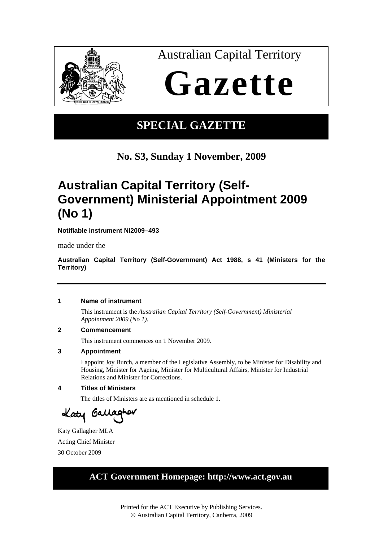

# **SPECIAL GAZETTE**

## **No. S3, Sunday 1 November, 2009**

# **Australian Capital Territory (Self-Government) Ministerial Appointment 2009 (No 1)**

**Notifiable instrument NI2009–493**

made under the

**Australian Capital Territory (Self-Government) Act 1988, s 41 (Ministers for the Territory)**

### **1 Name of instrument**

This instrument is the *Australian Capital Territory (Self-Government) Ministerial Appointment 2009 (No 1)*.

#### **2 Commencement**

This instrument commences on 1 November 2009.

#### **3 Appointment**

I appoint Joy Burch, a member of the Legislative Assembly, to be Minister for Disability and Housing, Minister for Ageing, Minister for Multicultural Affairs, Minister for Industrial Relations and Minister for Corrections.

### **4 Titles of Ministers**

The titles of Ministers are as mentioned in schedule 1.

Laty Gallagher

Katy Gallagher MLA Acting Chief Minister 30 October 2009

## **ACT Government Homepage: http://www.act.gov.au**